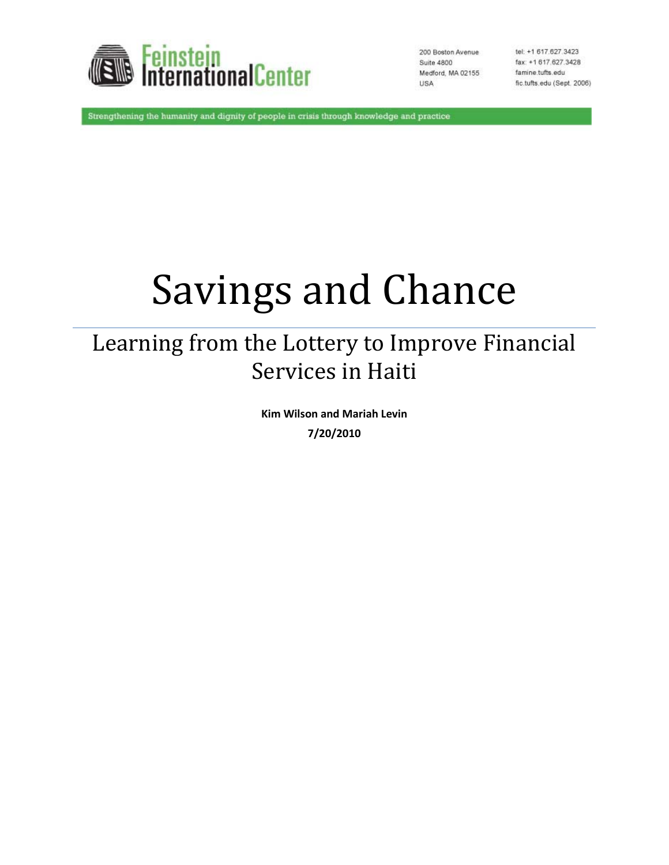

200 Boston Avenue Suite 4800 Medford, MA 02155 USA

tel: +1 617.627.3423 fax: +1 617.627.3428 famine.tufts.edu fic.tufts.edu (Sept. 2006)

Strengthening the humanity and dignity of people in crisis through knowledge and practice

# Savings and Chance

## Learning from the Lottery to Improve Financial Services in Haiti

**Kim Wilson and Mariah Levin 7/20/2010**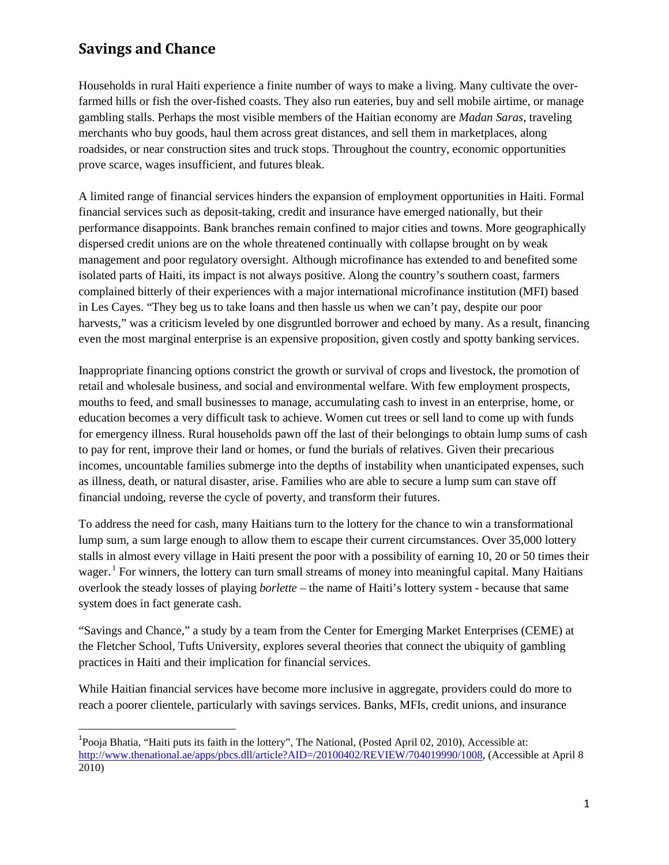Households in rural Haiti experience a finite number of ways to make a living. Many cultivate the overfarmed hills or fish the over-fished coasts. They also run eateries, buy and sell mobile airtime, or manage gambling stalls. Perhaps the most visible members of the Haitian economy are *Madan Saras*, traveling merchants who buy goods, haul them across great distances, and sell them in marketplaces, along roadsides, or near construction sites and truck stops. Throughout the country, economic opportunities prove scarce, wages insufficient, and futures bleak.

A limited range of financial services hinders the expansion of employment opportunities in Haiti. Formal financial services such as deposit-taking, credit and insurance have emerged nationally, but their performance disappoints. Bank branches remain confined to major cities and towns. More geographically dispersed credit unions are on the whole threatened continually with collapse brought on by weak management and poor regulatory oversight. Although microfinance has extended to and benefited some isolated parts of Haiti, its impact is not always positive. Along the country's southern coast, farmers complained bitterly of their experiences with a major international microfinance institution (MFI) based in Les Cayes. "They beg us to take loans and then hassle us when we can't pay, despite our poor harvests," was a criticism leveled by one disgruntled borrower and echoed by many. As a result, financing even the most marginal enterprise is an expensive proposition, given costly and spotty banking services.

Inappropriate financing options constrict the growth or survival of crops and livestock, the promotion of retail and wholesale business, and social and environmental welfare. With few employment prospects, mouths to feed, and small businesses to manage, accumulating cash to invest in an enterprise, home, or education becomes a very difficult task to achieve. Women cut trees or sell land to come up with funds for emergency illness. Rural households pawn off the last of their belongings to obtain lump sums of cash to pay for rent, improve their land or homes, or fund the burials of relatives. Given their precarious incomes, uncountable families submerge into the depths of instability when unanticipated expenses, such as illness, death, or natural disaster, arise. Families who are able to secure a lump sum can stave off financial undoing, reverse the cycle of poverty, and transform their futures.

To address the need for cash, many Haitians turn to the lottery for the chance to win a transformational lump sum, a sum large enough to allow them to escape their current circumstances. Over 35,000 lottery stalls in almost every village in Haiti present the poor with a possibility of earning 10, 20 or 50 times their wager.<sup>1</sup> For winners, the lottery can turn small streams of money into meaningful capital. Many Haitians overlook the steady losses of playing *borlette* – the name of Haiti's lottery system - because that same system does in fact generate cash.

"Savings and Chance," a study by a team from the Center for Emerging Market Enterprises (CEME) at the Fletcher School, Tufts University, explores several theories that connect the ubiquity of gambling practices in Haiti and their implication for financial services.

While Haitian financial services have become more inclusive in aggregate, providers could do more to reach a poorer clientele, particularly with savings services. Banks, MFIs, credit unions, and insurance

 $\frac{1}{1}$ Pooja Bhatia, "Haiti puts its faith in the lottery", The National, (Posted April 02, 2010), Accessible at: [http://www.thenational.ae/apps/pbcs.dll/article?AID=/20100402/REVIEW/704019990/1008,](http://www.thenational.ae/apps/pbcs.dll/article?AID=/20100402/REVIEW/704019990/1008) (Accessible at April 8 2010)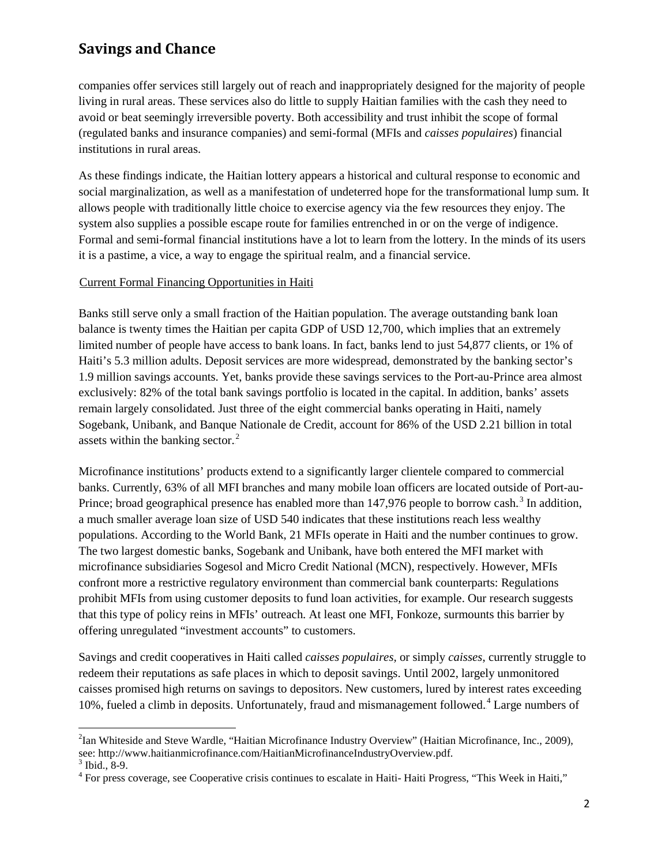companies offer services still largely out of reach and inappropriately designed for the majority of people living in rural areas. These services also do little to supply Haitian families with the cash they need to avoid or beat seemingly irreversible poverty. Both accessibility and trust inhibit the scope of formal (regulated banks and insurance companies) and semi-formal (MFIs and *caisses populaires*) financial institutions in rural areas.

As these findings indicate, the Haitian lottery appears a historical and cultural response to economic and social marginalization, as well as a manifestation of undeterred hope for the transformational lump sum. It allows people with traditionally little choice to exercise agency via the few resources they enjoy. The system also supplies a possible escape route for families entrenched in or on the verge of indigence. Formal and semi-formal financial institutions have a lot to learn from the lottery. In the minds of its users it is a pastime, a vice, a way to engage the spiritual realm, and a financial service.

#### UCurrent Formal Financing Opportunities in Haiti

Banks still serve only a small fraction of the Haitian population. The average outstanding bank loan balance is twenty times the Haitian per capita GDP of USD 12,700, which implies that an extremely limited number of people have access to bank loans. In fact, banks lend to just 54,877 clients, or 1% of Haiti's 5.3 million adults. Deposit services are more widespread, demonstrated by the banking sector's 1.9 million savings accounts. Yet, banks provide these savings services to the Port-au-Prince area almost exclusively: 82% of the total bank savings portfolio is located in the capital. In addition, banks' assets remain largely consolidated. Just three of the eight commercial banks operating in Haiti, namely Sogebank, Unibank, and Banque Nationale de Credit, account for 86% of the USD 2.21 billion in total assets within the banking sector. $2$ 

Microfinance institutions' products extend to a significantly larger clientele compared to commercial banks. Currently, 63% of all MFI branches and many mobile loan officers are located outside of Port-au-Prince; broad geographical presence has enabled more than  $147,976$  people to borrow cash.<sup>3</sup> In addition, a much smaller average loan size of USD 540 indicates that these institutions reach less wealthy populations. According to the World Bank, 21 MFIs operate in Haiti and the number continues to grow. The two largest domestic banks, Sogebank and Unibank, have both entered the MFI market with microfinance subsidiaries Sogesol and Micro Credit National (MCN), respectively. However, MFIs confront more a restrictive regulatory environment than commercial bank counterparts: Regulations prohibit MFIs from using customer deposits to fund loan activities, for example. Our research suggests that this type of policy reins in MFIs' outreach. At least one MFI, Fonkoze, surmounts this barrier by offering unregulated "investment accounts" to customers.

Savings and credit cooperatives in Haiti called *caisses populaires,* or simply *caisses*, currently struggle to redeem their reputations as safe places in which to deposit savings. Until 2002, largely unmonitored caisses promised high returns on savings to depositors. New customers, lured by interest rates exceeding 10%, fueled a climb in deposits. Unfortunately, fraud and mismanagement followed.<sup>4</sup> Large numbers of

ı

<sup>&</sup>lt;sup>2</sup>Ian Whiteside and Steve Wardle, "Haitian Microfinance Industry Overview" (Haitian Microfinance, Inc., 2009), see: http://www.haitianmicrofinance.com/HaitianMicrofinanceIndustryOverview.pdf.<sup>3</sup> Ibid., 8-9.

 $<sup>4</sup>$  For press coverage, see Cooperative crisis continues to escalate in Haiti- Haiti Progress, "This Week in Haiti,"</sup>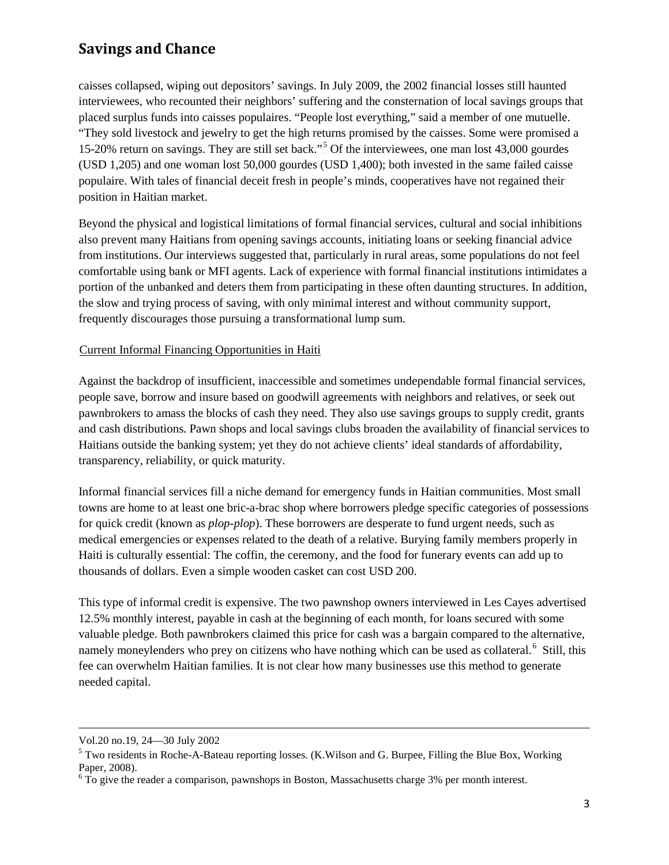caisses collapsed, wiping out depositors' savings. In July 2009, the 2002 financial losses still haunted interviewees, who recounted their neighbors' suffering and the consternation of local savings groups that placed surplus funds into caisses populaires. "People lost everything," said a member of one mutuelle. "They sold livestock and jewelry to get the high returns promised by the caisses. Some were promised a 15-20% return on savings. They are still set back."<sup>5</sup> Of the interviewees, one man lost 43,000 gourdes (USD 1,205) and one woman lost 50,000 gourdes (USD 1,400); both invested in the same failed caisse populaire. With tales of financial deceit fresh in people's minds, cooperatives have not regained their position in Haitian market.

Beyond the physical and logistical limitations of formal financial services, cultural and social inhibitions also prevent many Haitians from opening savings accounts, initiating loans or seeking financial advice from institutions. Our interviews suggested that, particularly in rural areas, some populations do not feel comfortable using bank or MFI agents. Lack of experience with formal financial institutions intimidates a portion of the unbanked and deters them from participating in these often daunting structures. In addition, the slow and trying process of saving, with only minimal interest and without community support, frequently discourages those pursuing a transformational lump sum.

#### UCurrent Informal Financing Opportunities in Haiti

Against the backdrop of insufficient, inaccessible and sometimes undependable formal financial services, people save, borrow and insure based on goodwill agreements with neighbors and relatives, or seek out pawnbrokers to amass the blocks of cash they need. They also use savings groups to supply credit, grants and cash distributions. Pawn shops and local savings clubs broaden the availability of financial services to Haitians outside the banking system; yet they do not achieve clients' ideal standards of affordability, transparency, reliability, or quick maturity.

Informal financial services fill a niche demand for emergency funds in Haitian communities. Most small towns are home to at least one bric-a-brac shop where borrowers pledge specific categories of possessions for quick credit (known as *plop-plop*). These borrowers are desperate to fund urgent needs, such as medical emergencies or expenses related to the death of a relative. Burying family members properly in Haiti is culturally essential: The coffin, the ceremony, and the food for funerary events can add up to thousands of dollars. Even a simple wooden casket can cost USD 200.

This type of informal credit is expensive. The two pawnshop owners interviewed in Les Cayes advertised 12.5% monthly interest, payable in cash at the beginning of each month, for loans secured with some valuable pledge. Both pawnbrokers claimed this price for cash was a bargain compared to the alternative, namely moneylenders who prey on citizens who have nothing which can be used as collateral.<sup>6</sup> Still, this fee can overwhelm Haitian families. It is not clear how many businesses use this method to generate needed capital.

ı

Vol.20 no.19, 24—30 July 2002

<sup>&</sup>lt;sup>5</sup> Two residents in Roche-A-Bateau reporting losses. (K.Wilson and G. Burpee, Filling the Blue Box, Working Paper, 2008).

<sup>&</sup>lt;sup>6</sup> To give the reader a comparison, pawnshops in Boston, Massachusetts charge 3% per month interest.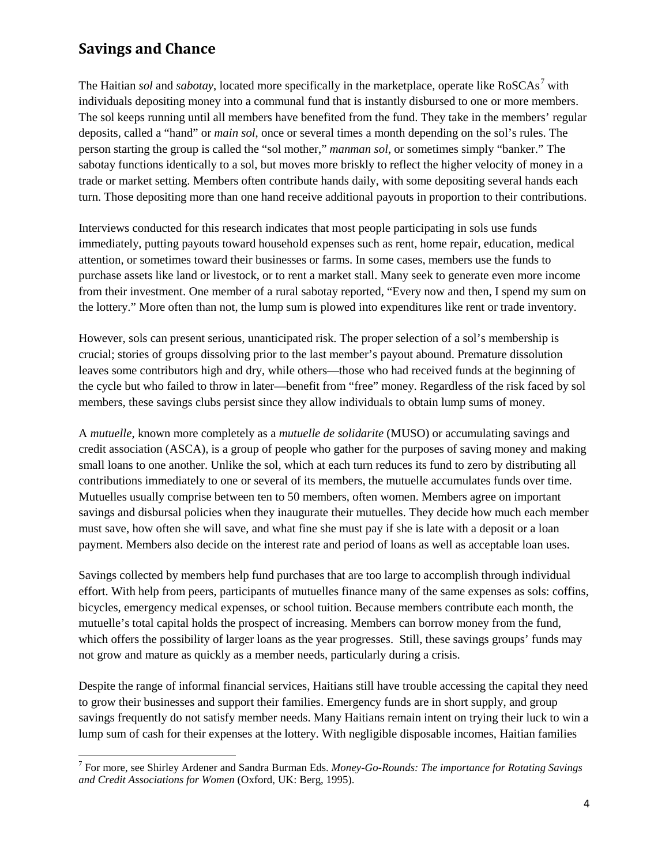ı

The Haitian *sol* and *sabotay*, located more specifically in the marketplace, operate like RoSCAs.<sup>7</sup> with individuals depositing money into a communal fund that is instantly disbursed to one or more members. The sol keeps running until all members have benefited from the fund. They take in the members' regular deposits, called a "hand" or *main sol*, once or several times a month depending on the sol's rules. The person starting the group is called the "sol mother," *manman sol,* or sometimes simply "banker." The sabotay functions identically to a sol, but moves more briskly to reflect the higher velocity of money in a trade or market setting. Members often contribute hands daily, with some depositing several hands each turn. Those depositing more than one hand receive additional payouts in proportion to their contributions.

Interviews conducted for this research indicates that most people participating in sols use funds immediately, putting payouts toward household expenses such as rent, home repair, education, medical attention, or sometimes toward their businesses or farms. In some cases, members use the funds to purchase assets like land or livestock, or to rent a market stall. Many seek to generate even more income from their investment. One member of a rural sabotay reported, "Every now and then, I spend my sum on the lottery." More often than not, the lump sum is plowed into expenditures like rent or trade inventory.

However, sols can present serious, unanticipated risk. The proper selection of a sol's membership is crucial; stories of groups dissolving prior to the last member's payout abound. Premature dissolution leaves some contributors high and dry, while others—those who had received funds at the beginning of the cycle but who failed to throw in later—benefit from "free" money. Regardless of the risk faced by sol members, these savings clubs persist since they allow individuals to obtain lump sums of money.

A *mutuelle*, known more completely as a *mutuelle de solidarite* (MUSO) or accumulating savings and credit association (ASCA), is a group of people who gather for the purposes of saving money and making small loans to one another. Unlike the sol, which at each turn reduces its fund to zero by distributing all contributions immediately to one or several of its members, the mutuelle accumulates funds over time. Mutuelles usually comprise between ten to 50 members, often women. Members agree on important savings and disbursal policies when they inaugurate their mutuelles. They decide how much each member must save, how often she will save, and what fine she must pay if she is late with a deposit or a loan payment. Members also decide on the interest rate and period of loans as well as acceptable loan uses.

Savings collected by members help fund purchases that are too large to accomplish through individual effort. With help from peers, participants of mutuelles finance many of the same expenses as sols: coffins, bicycles, emergency medical expenses, or school tuition. Because members contribute each month, the mutuelle's total capital holds the prospect of increasing. Members can borrow money from the fund, which offers the possibility of larger loans as the year progresses. Still, these savings groups' funds may not grow and mature as quickly as a member needs, particularly during a crisis.

Despite the range of informal financial services, Haitians still have trouble accessing the capital they need to grow their businesses and support their families. Emergency funds are in short supply, and group savings frequently do not satisfy member needs. Many Haitians remain intent on trying their luck to win a lump sum of cash for their expenses at the lottery. With negligible disposable incomes, Haitian families

<sup>7</sup> For more, see Shirley Ardener and Sandra Burman Eds. *Money-Go-Rounds: The importance for Rotating Savings and Credit Associations for Women* (Oxford, UK: Berg, 1995).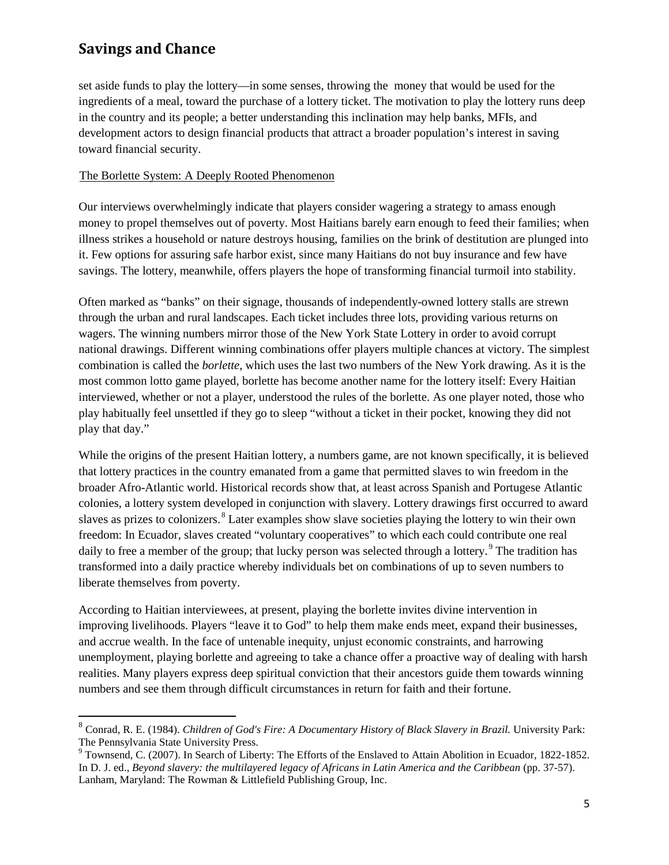ı

set aside funds to play the lottery—in some senses, throwing the money that would be used for the ingredients of a meal, toward the purchase of a lottery ticket. The motivation to play the lottery runs deep in the country and its people; a better understanding this inclination may help banks, MFIs, and development actors to design financial products that attract a broader population's interest in saving toward financial security.

#### The Borlette System: A Deeply Rooted Phenomenon

Our interviews overwhelmingly indicate that players consider wagering a strategy to amass enough money to propel themselves out of poverty. Most Haitians barely earn enough to feed their families; when illness strikes a household or nature destroys housing, families on the brink of destitution are plunged into it. Few options for assuring safe harbor exist, since many Haitians do not buy insurance and few have savings. The lottery, meanwhile, offers players the hope of transforming financial turmoil into stability.

Often marked as "banks" on their signage, thousands of independently-owned lottery stalls are strewn through the urban and rural landscapes. Each ticket includes three lots, providing various returns on wagers. The winning numbers mirror those of the New York State Lottery in order to avoid corrupt national drawings. Different winning combinations offer players multiple chances at victory. The simplest combination is called the *borlette*, which uses the last two numbers of the New York drawing. As it is the most common lotto game played, borlette has become another name for the lottery itself: Every Haitian interviewed, whether or not a player, understood the rules of the borlette. As one player noted, those who play habitually feel unsettled if they go to sleep "without a ticket in their pocket, knowing they did not play that day."

While the origins of the present Haitian lottery, a numbers game, are not known specifically, it is believed that lottery practices in the country emanated from a game that permitted slaves to win freedom in the broader Afro-Atlantic world. Historical records show that, at least across Spanish and Portugese Atlantic colonies, a lottery system developed in conjunction with slavery. Lottery drawings first occurred to award slaves as prizes to colonizers.<sup>8</sup> Later examples show slave societies playing the lottery to win their own freedom: In Ecuador, slaves created "voluntary cooperatives" to which each could contribute one real daily to free a member of the group; that lucky person was selected through a lottery.<sup>9</sup> The tradition has transformed into a daily practice whereby individuals bet on combinations of up to seven numbers to liberate themselves from poverty.

According to Haitian interviewees, at present, playing the borlette invites divine intervention in improving livelihoods. Players "leave it to God" to help them make ends meet, expand their businesses, and accrue wealth. In the face of untenable inequity, unjust economic constraints, and harrowing unemployment, playing borlette and agreeing to take a chance offer a proactive way of dealing with harsh realities. Many players express deep spiritual conviction that their ancestors guide them towards winning numbers and see them through difficult circumstances in return for faith and their fortune.

<sup>8</sup> Conrad, R. E. (1984). *Children of God's Fire: A Documentary History of Black Slavery in Brazil.* University Park: The Pennsylvania State University Press.

<sup>&</sup>lt;sup>9</sup> Townsend, C. (2007). In Search of Liberty: The Efforts of the Enslaved to Attain Abolition in Ecuador, 1822-1852. In D. J. ed., *Beyond slavery: the multilayered legacy of Africans in Latin America and the Caribbean* (pp. 37-57). Lanham, Maryland: The Rowman & Littlefield Publishing Group, Inc.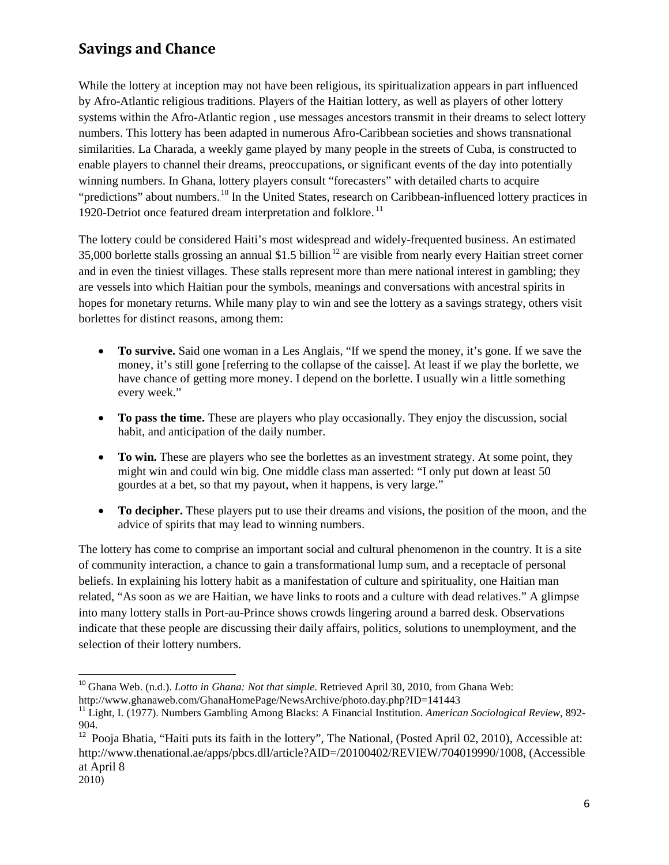While the lottery at inception may not have been religious, its spiritualization appears in part influenced by Afro-Atlantic religious traditions. Players of the Haitian lottery, as well as players of other lottery systems within the Afro-Atlantic region , use messages ancestors transmit in their dreams to select lottery numbers. This lottery has been adapted in numerous Afro-Caribbean societies and shows transnational similarities. La Charada, a weekly game played by many people in the streets of Cuba, is constructed to enable players to channel their dreams, preoccupations, or significant events of the day into potentially winning numbers. In Ghana, lottery players consult "forecasters" with detailed charts to acquire "predictions" about numbers.<sup>10</sup> In the United States, research on Caribbean-influenced lottery practices in 1920-Detriot once featured dream interpretation and folklore.<sup>11</sup>

The lottery could be considered Haiti's most widespread and widely-frequented business. An estimated 35,000 borlette stalls grossing an annual \$1.5 billion.<sup>12</sup> are visible from nearly every Haitian street corner and in even the tiniest villages. These stalls represent more than mere national interest in gambling; they are vessels into which Haitian pour the symbols, meanings and conversations with ancestral spirits in hopes for monetary returns. While many play to win and see the lottery as a savings strategy, others visit borlettes for distinct reasons, among them:

- **To survive.** Said one woman in a Les Anglais, "If we spend the money, it's gone. If we save the money, it's still gone [referring to the collapse of the caisse]. At least if we play the borlette, we have chance of getting more money. I depend on the borlette. I usually win a little something every week."
- **To pass the time.** These are players who play occasionally. They enjoy the discussion, social habit, and anticipation of the daily number.
- **To win.** These are players who see the borlettes as an investment strategy. At some point, they might win and could win big. One middle class man asserted: "I only put down at least 50 gourdes at a bet, so that my payout, when it happens, is very large."
- **To decipher.** These players put to use their dreams and visions, the position of the moon, and the advice of spirits that may lead to winning numbers.

The lottery has come to comprise an important social and cultural phenomenon in the country. It is a site of community interaction, a chance to gain a transformational lump sum, and a receptacle of personal beliefs. In explaining his lottery habit as a manifestation of culture and spirituality, one Haitian man related, "As soon as we are Haitian, we have links to roots and a culture with dead relatives." A glimpse into many lottery stalls in Port-au-Prince shows crowds lingering around a barred desk. Observations indicate that these people are discussing their daily affairs, politics, solutions to unemployment, and the selection of their lottery numbers.

<sup>&</sup>lt;sup>10</sup> Ghana Web. (n.d.). *Lotto in Ghana: Not that simple*. Retrieved April 30, 2010, from Ghana Web:

http://www.ghanaweb.com/GhanaHomePage/NewsArchive/photo.day.php?ID=141443

<sup>11</sup> Light, I. (1977). Numbers Gambling Among Blacks: A Financial Institution. *American Sociological Review*, 892- 904.

<sup>&</sup>lt;sup>12</sup> Pooja Bhatia, "Haiti puts its faith in the lottery", The National, (Posted April 02, 2010), Accessible at: http://www.thenational.ae/apps/pbcs.dll/article?AID=/20100402/REVIEW/704019990/1008, (Accessible at April 8

<sup>2010)</sup>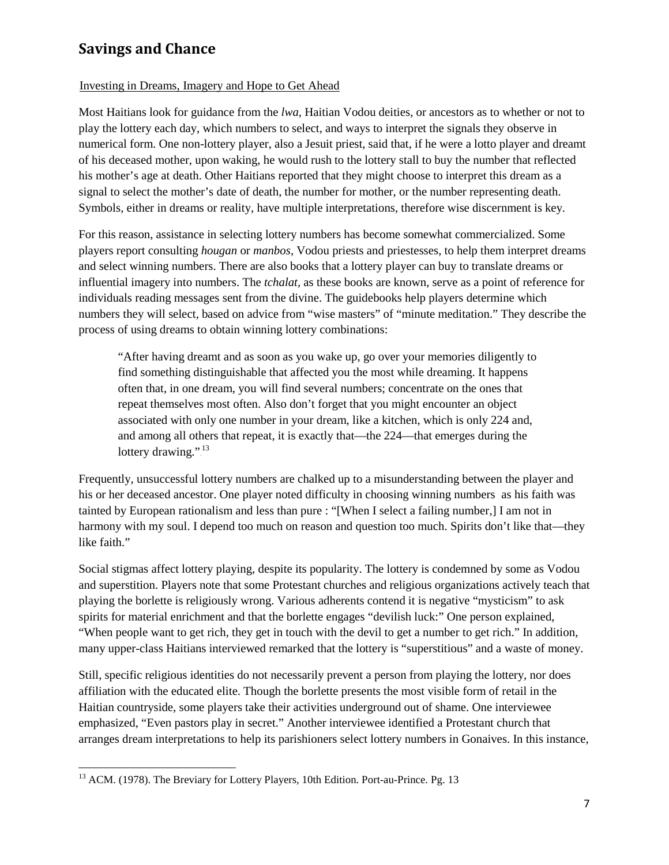#### Investing in Dreams, Imagery and Hope to Get Ahead

Most Haitians look for guidance from the *lwa,* Haitian Vodou deities, or ancestors as to whether or not to play the lottery each day, which numbers to select, and ways to interpret the signals they observe in numerical form. One non-lottery player, also a Jesuit priest, said that, if he were a lotto player and dreamt of his deceased mother, upon waking, he would rush to the lottery stall to buy the number that reflected his mother's age at death. Other Haitians reported that they might choose to interpret this dream as a signal to select the mother's date of death, the number for mother, or the number representing death. Symbols, either in dreams or reality, have multiple interpretations, therefore wise discernment is key.

For this reason, assistance in selecting lottery numbers has become somewhat commercialized. Some players report consulting *hougan* or *manbos,* Vodou priests and priestesses, to help them interpret dreams and select winning numbers. There are also books that a lottery player can buy to translate dreams or influential imagery into numbers. The *tchalat,* as these books are known, serve as a point of reference for individuals reading messages sent from the divine. The guidebooks help players determine which numbers they will select, based on advice from "wise masters" of "minute meditation." They describe the process of using dreams to obtain winning lottery combinations:

"After having dreamt and as soon as you wake up, go over your memories diligently to find something distinguishable that affected you the most while dreaming. It happens often that, in one dream, you will find several numbers; concentrate on the ones that repeat themselves most often. Also don't forget that you might encounter an object associated with only one number in your dream, like a kitchen, which is only 224 and, and among all others that repeat, it is exactly that—the 224—that emerges during the lottery drawing.".<sup>13</sup>

Frequently, unsuccessful lottery numbers are chalked up to a misunderstanding between the player and his or her deceased ancestor. One player noted difficulty in choosing winning numbers as his faith was tainted by European rationalism and less than pure : "[When I select a failing number,] I am not in harmony with my soul. I depend too much on reason and question too much. Spirits don't like that—they like faith."

Social stigmas affect lottery playing, despite its popularity. The lottery is condemned by some as Vodou and superstition. Players note that some Protestant churches and religious organizations actively teach that playing the borlette is religiously wrong. Various adherents contend it is negative "mysticism" to ask spirits for material enrichment and that the borlette engages "devilish luck:" One person explained, "When people want to get rich, they get in touch with the devil to get a number to get rich." In addition, many upper-class Haitians interviewed remarked that the lottery is "superstitious" and a waste of money.

Still, specific religious identities do not necessarily prevent a person from playing the lottery, nor does affiliation with the educated elite. Though the borlette presents the most visible form of retail in the Haitian countryside, some players take their activities underground out of shame. One interviewee emphasized, "Even pastors play in secret." Another interviewee identified a Protestant church that arranges dream interpretations to help its parishioners select lottery numbers in Gonaives. In this instance,

l

<sup>&</sup>lt;sup>13</sup> ACM. (1978). The Breviary for Lottery Players, 10th Edition. Port-au-Prince. Pg. 13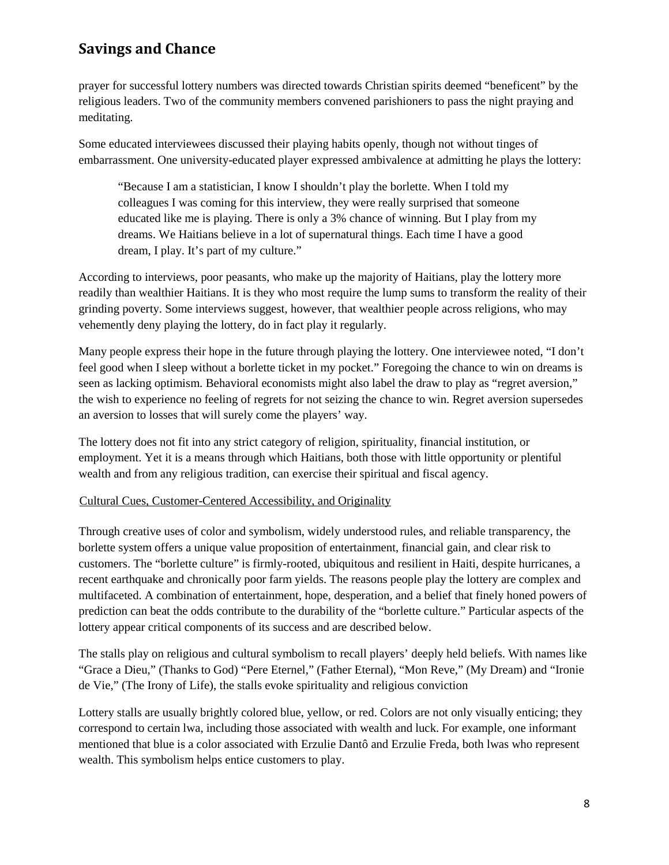prayer for successful lottery numbers was directed towards Christian spirits deemed "beneficent" by the religious leaders. Two of the community members convened parishioners to pass the night praying and meditating.

Some educated interviewees discussed their playing habits openly, though not without tinges of embarrassment. One university-educated player expressed ambivalence at admitting he plays the lottery:

"Because I am a statistician, I know I shouldn't play the borlette. When I told my colleagues I was coming for this interview, they were really surprised that someone educated like me is playing. There is only a 3% chance of winning. But I play from my dreams. We Haitians believe in a lot of supernatural things. Each time I have a good dream, I play. It's part of my culture."

According to interviews, poor peasants, who make up the majority of Haitians, play the lottery more readily than wealthier Haitians. It is they who most require the lump sums to transform the reality of their grinding poverty. Some interviews suggest, however, that wealthier people across religions, who may vehemently deny playing the lottery, do in fact play it regularly.

Many people express their hope in the future through playing the lottery. One interviewee noted, "I don't feel good when I sleep without a borlette ticket in my pocket." Foregoing the chance to win on dreams is seen as lacking optimism. Behavioral economists might also label the draw to play as "regret aversion," the wish to experience no feeling of regrets for not seizing the chance to win. Regret aversion supersedes an aversion to losses that will surely come the players' way.

The lottery does not fit into any strict category of religion, spirituality, financial institution, or employment. Yet it is a means through which Haitians, both those with little opportunity or plentiful wealth and from any religious tradition, can exercise their spiritual and fiscal agency.

#### Cultural Cues, Customer-Centered Accessibility, and Originality

Through creative uses of color and symbolism, widely understood rules, and reliable transparency, the borlette system offers a unique value proposition of entertainment, financial gain, and clear risk to customers. The "borlette culture" is firmly-rooted, ubiquitous and resilient in Haiti, despite hurricanes, a recent earthquake and chronically poor farm yields. The reasons people play the lottery are complex and multifaceted. A combination of entertainment, hope, desperation, and a belief that finely honed powers of prediction can beat the odds contribute to the durability of the "borlette culture." Particular aspects of the lottery appear critical components of its success and are described below.

The stalls play on religious and cultural symbolism to recall players' deeply held beliefs. With names like "Grace a Dieu," (Thanks to God) "Pere Eternel," (Father Eternal), "Mon Reve," (My Dream) and "Ironie de Vie," (The Irony of Life), the stalls evoke spirituality and religious conviction

Lottery stalls are usually brightly colored blue, yellow, or red. Colors are not only visually enticing; they correspond to certain lwa, including those associated with wealth and luck. For example, one informant mentioned that blue is a color associated with Erzulie Dantô and Erzulie Freda, both lwas who represent wealth. This symbolism helps entice customers to play.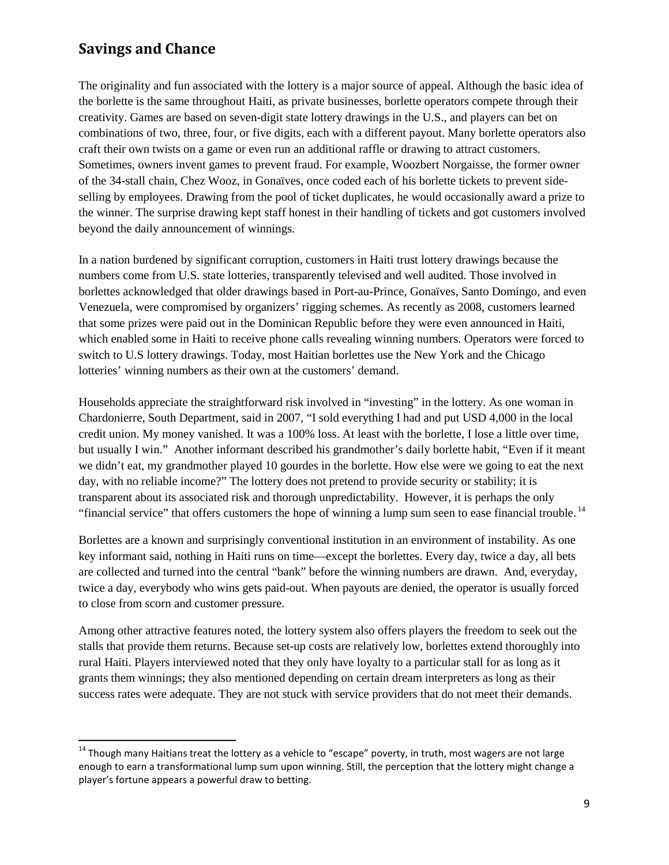The originality and fun associated with the lottery is a major source of appeal. Although the basic idea of the borlette is the same throughout Haiti, as private businesses, borlette operators compete through their creativity. Games are based on seven-digit state lottery drawings in the U.S., and players can bet on combinations of two, three, four, or five digits, each with a different payout. Many borlette operators also craft their own twists on a game or even run an additional raffle or drawing to attract customers. Sometimes, owners invent games to prevent fraud. For example, Woozbert Norgaisse, the former owner of the 34-stall chain, Chez Wooz, in Gonaïves, once coded each of his borlette tickets to prevent sideselling by employees. Drawing from the pool of ticket duplicates, he would occasionally award a prize to the winner. The surprise drawing kept staff honest in their handling of tickets and got customers involved beyond the daily announcement of winnings.

In a nation burdened by significant corruption, customers in Haiti trust lottery drawings because the numbers come from U.S. state lotteries, transparently televised and well audited. Those involved in borlettes acknowledged that older drawings based in Port-au-Prince, Gonaïves, Santo Domingo, and even Venezuela, were compromised by organizers' rigging schemes. As recently as 2008, customers learned that some prizes were paid out in the Dominican Republic before they were even announced in Haiti, which enabled some in Haiti to receive phone calls revealing winning numbers. Operators were forced to switch to U.S lottery drawings. Today, most Haitian borlettes use the New York and the Chicago lotteries' winning numbers as their own at the customers' demand.

Households appreciate the straightforward risk involved in "investing" in the lottery. As one woman in Chardonierre, South Department, said in 2007, "I sold everything I had and put USD 4,000 in the local credit union. My money vanished. It was a 100% loss. At least with the borlette, I lose a little over time, but usually I win." Another informant described his grandmother's daily borlette habit, "Even if it meant we didn't eat, my grandmother played 10 gourdes in the borlette. How else were we going to eat the next day, with no reliable income?" The lottery does not pretend to provide security or stability; it is transparent about its associated risk and thorough unpredictability. However, it is perhaps the only "financial service" that offers customers the hope of winning a lump sum seen to ease financial trouble.<sup>14</sup>

Borlettes are a known and surprisingly conventional institution in an environment of instability. As one key informant said, nothing in Haiti runs on time—except the borlettes. Every day, twice a day, all bets are collected and turned into the central "bank" before the winning numbers are drawn. And, everyday, twice a day, everybody who wins gets paid-out. When payouts are denied, the operator is usually forced to close from scorn and customer pressure.

Among other attractive features noted, the lottery system also offers players the freedom to seek out the stalls that provide them returns. Because set-up costs are relatively low, borlettes extend thoroughly into rural Haiti. Players interviewed noted that they only have loyalty to a particular stall for as long as it grants them winnings; they also mentioned depending on certain dream interpreters as long as their success rates were adequate. They are not stuck with service providers that do not meet their demands.

 $14$  Though many Haitians treat the lottery as a vehicle to "escape" poverty, in truth, most wagers are not large enough to earn a transformational lump sum upon winning. Still, the perception that the lottery might change a player's fortune appears a powerful draw to betting.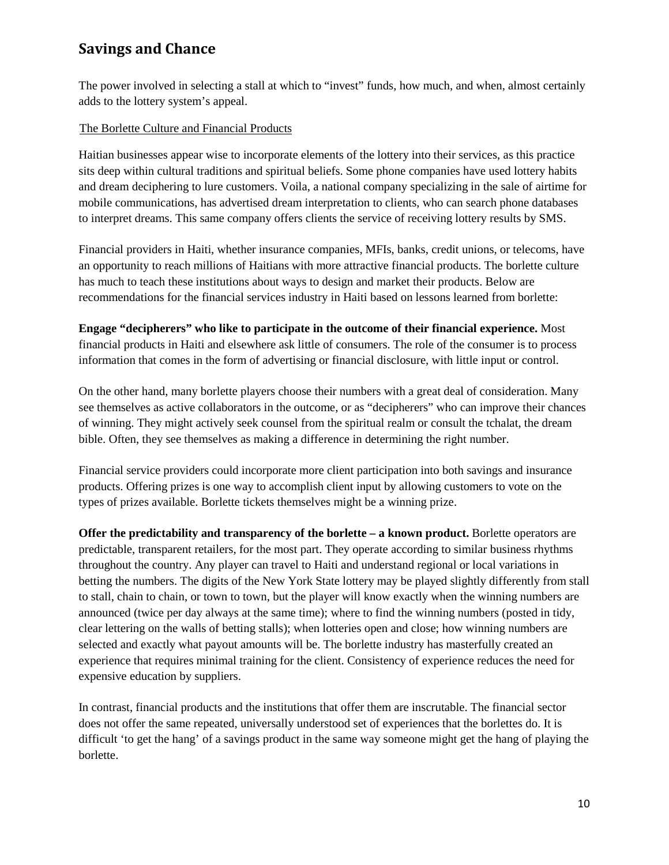The power involved in selecting a stall at which to "invest" funds, how much, and when, almost certainly adds to the lottery system's appeal.

#### The Borlette Culture and Financial Products

Haitian businesses appear wise to incorporate elements of the lottery into their services, as this practice sits deep within cultural traditions and spiritual beliefs. Some phone companies have used lottery habits and dream deciphering to lure customers. Voila, a national company specializing in the sale of airtime for mobile communications, has advertised dream interpretation to clients, who can search phone databases to interpret dreams. This same company offers clients the service of receiving lottery results by SMS.

Financial providers in Haiti, whether insurance companies, MFIs, banks, credit unions, or telecoms, have an opportunity to reach millions of Haitians with more attractive financial products. The borlette culture has much to teach these institutions about ways to design and market their products. Below are recommendations for the financial services industry in Haiti based on lessons learned from borlette:

**Engage "decipherers" who like to participate in the outcome of their financial experience.** Most financial products in Haiti and elsewhere ask little of consumers. The role of the consumer is to process information that comes in the form of advertising or financial disclosure, with little input or control.

On the other hand, many borlette players choose their numbers with a great deal of consideration. Many see themselves as active collaborators in the outcome, or as "decipherers" who can improve their chances of winning. They might actively seek counsel from the spiritual realm or consult the tchalat, the dream bible. Often, they see themselves as making a difference in determining the right number.

Financial service providers could incorporate more client participation into both savings and insurance products. Offering prizes is one way to accomplish client input by allowing customers to vote on the types of prizes available. Borlette tickets themselves might be a winning prize.

**Offer the predictability and transparency of the borlette – a known product.** Borlette operators are predictable, transparent retailers, for the most part. They operate according to similar business rhythms throughout the country. Any player can travel to Haiti and understand regional or local variations in betting the numbers. The digits of the New York State lottery may be played slightly differently from stall to stall, chain to chain, or town to town, but the player will know exactly when the winning numbers are announced (twice per day always at the same time); where to find the winning numbers (posted in tidy, clear lettering on the walls of betting stalls); when lotteries open and close; how winning numbers are selected and exactly what payout amounts will be. The borlette industry has masterfully created an experience that requires minimal training for the client. Consistency of experience reduces the need for expensive education by suppliers.

In contrast, financial products and the institutions that offer them are inscrutable. The financial sector does not offer the same repeated, universally understood set of experiences that the borlettes do. It is difficult 'to get the hang' of a savings product in the same way someone might get the hang of playing the borlette.